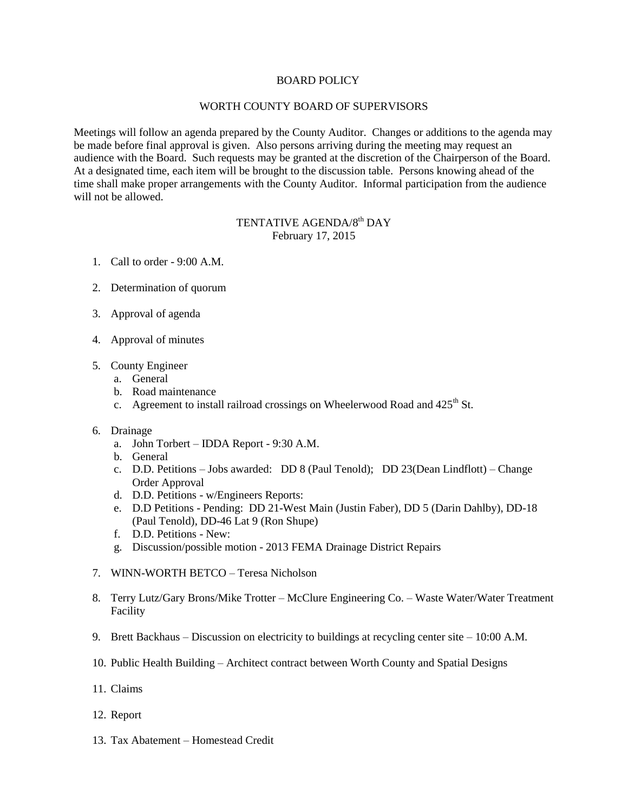## BOARD POLICY

## WORTH COUNTY BOARD OF SUPERVISORS

Meetings will follow an agenda prepared by the County Auditor. Changes or additions to the agenda may be made before final approval is given. Also persons arriving during the meeting may request an audience with the Board. Such requests may be granted at the discretion of the Chairperson of the Board. At a designated time, each item will be brought to the discussion table. Persons knowing ahead of the time shall make proper arrangements with the County Auditor. Informal participation from the audience will not be allowed.

## TENTATIVE AGENDA/8<sup>th</sup> DAY February 17, 2015

- 1. Call to order 9:00 A.M.
- 2. Determination of quorum
- 3. Approval of agenda
- 4. Approval of minutes
- 5. County Engineer
	- a. General
	- b. Road maintenance
	- c. Agreement to install railroad crossings on Wheelerwood Road and  $425<sup>th</sup>$  St.
- 6. Drainage
	- a. John Torbert IDDA Report 9:30 A.M.
	- b. General
	- c. D.D. Petitions Jobs awarded: DD 8 (Paul Tenold); DD 23(Dean Lindflott) Change Order Approval
	- d. D.D. Petitions w/Engineers Reports:
	- e. D.D Petitions Pending: DD 21-West Main (Justin Faber), DD 5 (Darin Dahlby), DD-18 (Paul Tenold), DD-46 Lat 9 (Ron Shupe)
	- f. D.D. Petitions New:
	- g. Discussion/possible motion 2013 FEMA Drainage District Repairs
- 7. WINN-WORTH BETCO Teresa Nicholson
- 8. Terry Lutz/Gary Brons/Mike Trotter McClure Engineering Co. Waste Water/Water Treatment Facility
- 9. Brett Backhaus Discussion on electricity to buildings at recycling center site 10:00 A.M.
- 10. Public Health Building Architect contract between Worth County and Spatial Designs
- 11. Claims
- 12. Report
- 13. Tax Abatement Homestead Credit